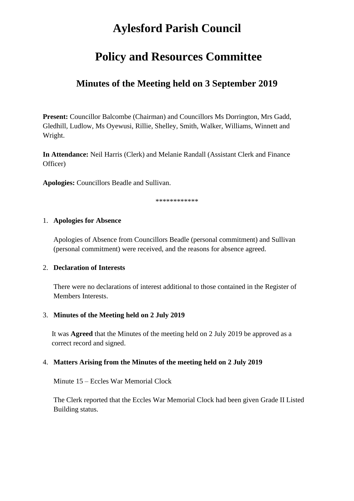# **Aylesford Parish Council**

## **Policy and Resources Committee**

### **Minutes of the Meeting held on 3 September 2019**

**Present:** Councillor Balcombe (Chairman) and Councillors Ms Dorrington, Mrs Gadd, Gledhill, Ludlow, Ms Oyewusi, Rillie, Shelley, Smith, Walker, Williams, Winnett and Wright.

**In Attendance:** Neil Harris (Clerk) and Melanie Randall (Assistant Clerk and Finance Officer)

**Apologies:** Councillors Beadle and Sullivan.

\*\*\*\*\*\*\*\*\*\*\*\*

#### 1. **Apologies for Absence**

Apologies of Absence from Councillors Beadle (personal commitment) and Sullivan (personal commitment) were received, and the reasons for absence agreed.

#### 2. **Declaration of Interests**

There were no declarations of interest additional to those contained in the Register of Members Interests.

#### 3. **Minutes of the Meeting held on 2 July 2019**

It was **Agreed** that the Minutes of the meeting held on 2 July 2019 be approved as a correct record and signed.

#### 4. **Matters Arising from the Minutes of the meeting held on 2 July 2019**

Minute 15 – Eccles War Memorial Clock

The Clerk reported that the Eccles War Memorial Clock had been given Grade II Listed Building status.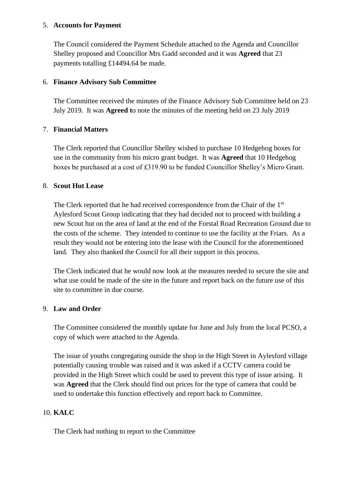#### 5. **Accounts for Payment**

The Council considered the Payment Schedule attached to the Agenda and Councillor Shelley proposed and Councillor Mrs Gadd seconded and it was **Agreed** that 23 payments totalling £14494.64 be made.

#### 6. **Finance Advisory Sub Committee**

The Committee received the minutes of the Finance Advisory Sub Committee held on 23 July 2019. It was **Agreed t**o note the minutes of the meeting held on 23 July 2019

#### 7. **Financial Matters**

The Clerk reported that Councillor Shelley wished to purchase 10 Hedgehog boxes for use in the community from his micro grant budget. It was **Agreed** that 10 Hedgehog boxes be purchased at a cost of £319.90 to be funded Councillor Shelley's Micro Grant.

#### 8. **Scout Hut Lease**

The Clerk reported that he had received correspondence from the Chair of the 1<sup>st</sup> Aylesford Scout Group indicating that they had decided not to proceed with building a new Scout hut on the area of land at the end of the Forstal Road Recreation Ground due to the costs of the scheme. They intended to continue to use the facility at the Friars. As a result they would not be entering into the lease with the Council for the aforementioned land. They also thanked the Council for all their support in this process.

The Clerk indicated that he would now look at the measures needed to secure the site and what use could be made of the site in the future and report back on the future use of this site to committee in due course.

#### 9. **Law and Order**

The Committee considered the monthly update for June and July from the local PCSO, a copy of which were attached to the Agenda.

The issue of youths congregating outside the shop in the High Street in Aylesford village potentially causing trouble was raised and it was asked if a CCTV camera could be provided in the High Street which could be used to prevent this type of issue arising. It was **Agreed** that the Clerk should find out prices for the type of camera that could be used to undertake this function effectively and report back to Committee.

#### 10. **KALC**

The Clerk had nothing to report to the Committee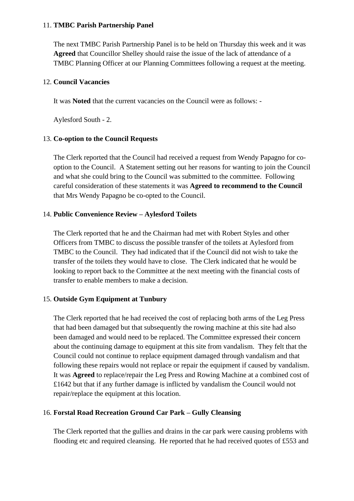#### 11. **TMBC Parish Partnership Panel**

The next TMBC Parish Partnership Panel is to be held on Thursday this week and it was **Agreed** that Councillor Shelley should raise the issue of the lack of attendance of a TMBC Planning Officer at our Planning Committees following a request at the meeting.

#### 12. **Council Vacancies**

It was **Noted** that the current vacancies on the Council were as follows: -

Aylesford South - 2.

#### 13. **Co-option to the Council Requests**

The Clerk reported that the Council had received a request from Wendy Papagno for cooption to the Council. A Statement setting out her reasons for wanting to join the Council and what she could bring to the Council was submitted to the committee. Following careful consideration of these statements it was **Agreed to recommend to the Council** that Mrs Wendy Papagno be co-opted to the Council.

#### 14. **Public Convenience Review – Aylesford Toilets**

The Clerk reported that he and the Chairman had met with Robert Styles and other Officers from TMBC to discuss the possible transfer of the toilets at Aylesford from TMBC to the Council. They had indicated that if the Council did not wish to take the transfer of the toilets they would have to close. The Clerk indicated that he would be looking to report back to the Committee at the next meeting with the financial costs of transfer to enable members to make a decision.

#### 15. **Outside Gym Equipment at Tunbury**

The Clerk reported that he had received the cost of replacing both arms of the Leg Press that had been damaged but that subsequently the rowing machine at this site had also been damaged and would need to be replaced. The Committee expressed their concern about the continuing damage to equipment at this site from vandalism. They felt that the Council could not continue to replace equipment damaged through vandalism and that following these repairs would not replace or repair the equipment if caused by vandalism. It was **Agreed** to replace/repair the Leg Press and Rowing Machine at a combined cost of £1642 but that if any further damage is inflicted by vandalism the Council would not repair/replace the equipment at this location.

#### 16. **Forstal Road Recreation Ground Car Park – Gully Cleansing**

The Clerk reported that the gullies and drains in the car park were causing problems with flooding etc and required cleansing. He reported that he had received quotes of £553 and